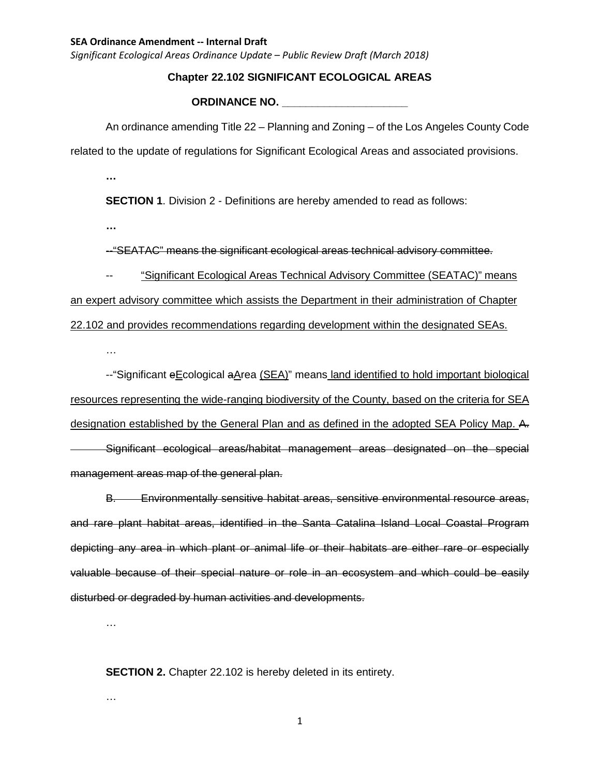*Significant Ecological Areas Ordinance Update – Public Review Draft (March 2018)*

# **Chapter 22.102 SIGNIFICANT ECOLOGICAL AREAS**

#### **ORDINANCE NO. \_\_\_\_\_\_\_\_\_\_\_\_\_\_\_\_\_\_\_\_\_**

An ordinance amending Title 22 – Planning and Zoning – of the Los Angeles County Code related to the update of regulations for Significant Ecological Areas and associated provisions.

**…**

**SECTION 1.** Division 2 - Definitions are hereby amended to read as follows:

**…**

--"SEATAC" means the significant ecological areas technical advisory committee.

-- "Significant Ecological Areas Technical Advisory Committee (SEATAC)" means an expert advisory committee which assists the Department in their administration of Chapter 22.102 and provides recommendations regarding development within the designated SEAs.

…

--"Significant eEcological aArea (SEA)" means land identified to hold important biological resources representing the wide-ranging biodiversity of the County, based on the criteria for SEA designation established by the General Plan and as defined in the adopted SEA Policy Map. A. Significant ecological areas/habitat management areas designated on the special management areas map of the general plan.

B. Environmentally sensitive habitat areas, sensitive environmental resource areas, and rare plant habitat areas, identified in the Santa Catalina Island Local Coastal Program depicting any area in which plant or animal life or their habitats are either rare or especially valuable because of their special nature or role in an ecosystem and which could be easily disturbed or degraded by human activities and developments.

…

…

**SECTION 2.** Chapter 22.102 is hereby deleted in its entirety.

1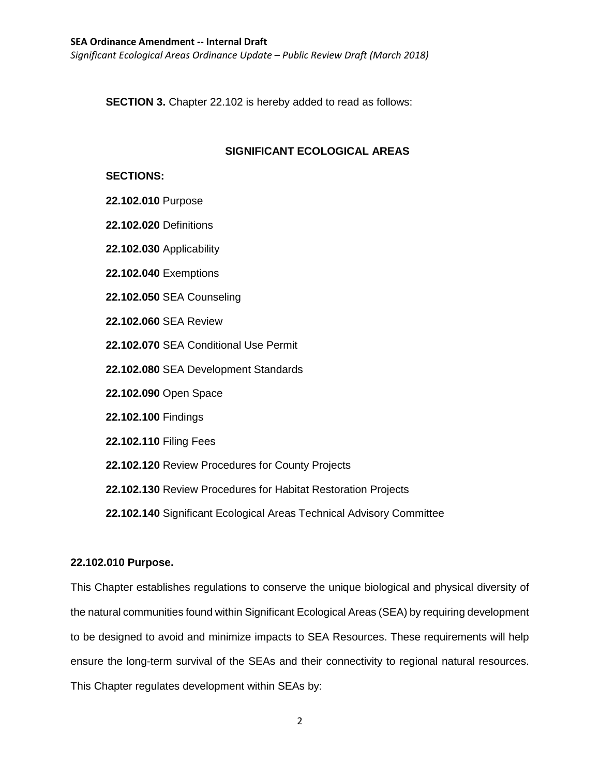*Significant Ecological Areas Ordinance Update – Public Review Draft (March 2018)*

**SECTION 3.** Chapter 22.102 is hereby added to read as follows:

# **SIGNIFICANT ECOLOGICAL AREAS**

# **SECTIONS:**

- **22.102.010** Purpose
- **22.102.020** Definitions
- **22.102.030** Applicability
- **22.102.040** Exemptions
- **22.102.050** SEA Counseling
- **22.102.060** SEA Review
- **22.102.070** SEA Conditional Use Permit
- **22.102.080** SEA Development Standards
- **22.102.090** Open Space
- **22.102.100** Findings
- **22.102.110** Filing Fees
- **22.102.120** Review Procedures for County Projects
- **22.102.130** Review Procedures for Habitat Restoration Projects
- **22.102.140** Significant Ecological Areas Technical Advisory Committee

# **22.102.010 Purpose.**

This Chapter establishes regulations to conserve the unique biological and physical diversity of the natural communities found within Significant Ecological Areas (SEA) by requiring development to be designed to avoid and minimize impacts to SEA Resources. These requirements will help ensure the long-term survival of the SEAs and their connectivity to regional natural resources. This Chapter regulates development within SEAs by: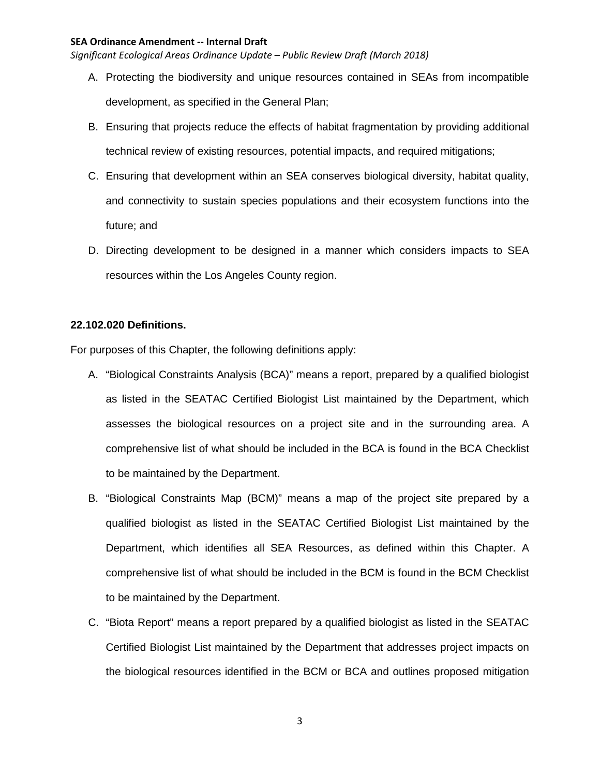*Significant Ecological Areas Ordinance Update – Public Review Draft (March 2018)*

- A. Protecting the biodiversity and unique resources contained in SEAs from incompatible development, as specified in the General Plan;
- B. Ensuring that projects reduce the effects of habitat fragmentation by providing additional technical review of existing resources, potential impacts, and required mitigations;
- C. Ensuring that development within an SEA conserves biological diversity, habitat quality, and connectivity to sustain species populations and their ecosystem functions into the future; and
- D. Directing development to be designed in a manner which considers impacts to SEA resources within the Los Angeles County region.

## **22.102.020 Definitions.**

For purposes of this Chapter, the following definitions apply:

- A. "Biological Constraints Analysis (BCA)" means a report, prepared by a qualified biologist as listed in the SEATAC Certified Biologist List maintained by the Department, which assesses the biological resources on a project site and in the surrounding area. A comprehensive list of what should be included in the BCA is found in the BCA Checklist to be maintained by the Department.
- B. "Biological Constraints Map (BCM)" means a map of the project site prepared by a qualified biologist as listed in the SEATAC Certified Biologist List maintained by the Department, which identifies all SEA Resources, as defined within this Chapter. A comprehensive list of what should be included in the BCM is found in the BCM Checklist to be maintained by the Department.
- C. "Biota Report" means a report prepared by a qualified biologist as listed in the SEATAC Certified Biologist List maintained by the Department that addresses project impacts on the biological resources identified in the BCM or BCA and outlines proposed mitigation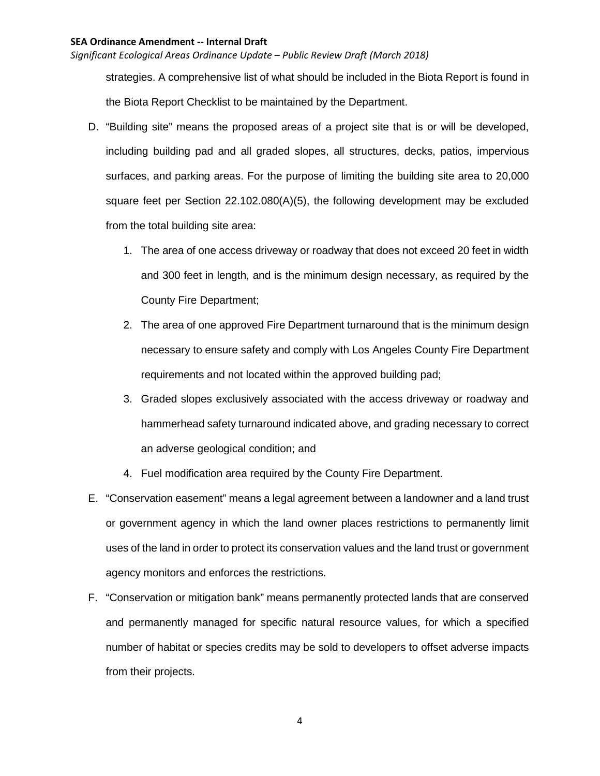*Significant Ecological Areas Ordinance Update – Public Review Draft (March 2018)*

strategies. A comprehensive list of what should be included in the Biota Report is found in the Biota Report Checklist to be maintained by the Department.

- D. "Building site" means the proposed areas of a project site that is or will be developed, including building pad and all graded slopes, all structures, decks, patios, impervious surfaces, and parking areas. For the purpose of limiting the building site area to 20,000 square feet per Section 22.102.080(A)(5), the following development may be excluded from the total building site area:
	- 1. The area of one access driveway or roadway that does not exceed 20 feet in width and 300 feet in length, and is the minimum design necessary, as required by the County Fire Department;
	- 2. The area of one approved Fire Department turnaround that is the minimum design necessary to ensure safety and comply with Los Angeles County Fire Department requirements and not located within the approved building pad;
	- 3. Graded slopes exclusively associated with the access driveway or roadway and hammerhead safety turnaround indicated above, and grading necessary to correct an adverse geological condition; and
	- 4. Fuel modification area required by the County Fire Department.
- E. "Conservation easement" means a legal agreement between a landowner and a land trust or government agency in which the land owner places restrictions to permanently limit uses of the land in order to protect its conservation values and the land trust or government agency monitors and enforces the restrictions.
- F. "Conservation or mitigation bank" means permanently protected lands that are conserved and permanently managed for specific natural resource values, for which a specified number of habitat or species credits may be sold to developers to offset adverse impacts from their projects.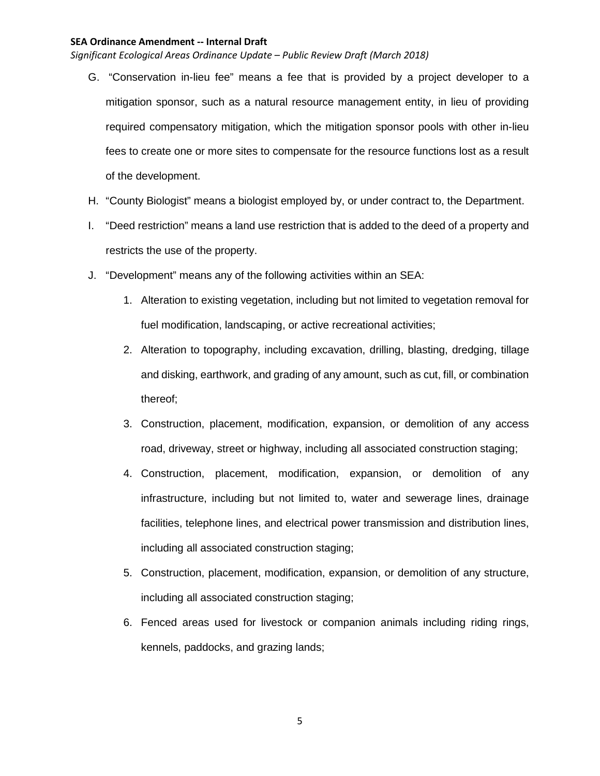- G. "Conservation in-lieu fee" means a fee that is provided by a project developer to a mitigation sponsor, such as a natural resource management entity, in lieu of providing required compensatory mitigation, which the mitigation sponsor pools with other in-lieu fees to create one or more sites to compensate for the resource functions lost as a result of the development.
- H. "County Biologist" means a biologist employed by, or under contract to, the Department.
- I. "Deed restriction" means a land use restriction that is added to the deed of a property and restricts the use of the property.
- J. "Development" means any of the following activities within an SEA:
	- 1. Alteration to existing vegetation, including but not limited to vegetation removal for fuel modification, landscaping, or active recreational activities;
	- 2. Alteration to topography, including excavation, drilling, blasting, dredging, tillage and disking, earthwork, and grading of any amount, such as cut, fill, or combination thereof;
	- 3. Construction, placement, modification, expansion, or demolition of any access road, driveway, street or highway, including all associated construction staging;
	- 4. Construction, placement, modification, expansion, or demolition of any infrastructure, including but not limited to, water and sewerage lines, drainage facilities, telephone lines, and electrical power transmission and distribution lines, including all associated construction staging;
	- 5. Construction, placement, modification, expansion, or demolition of any structure, including all associated construction staging;
	- 6. Fenced areas used for livestock or companion animals including riding rings, kennels, paddocks, and grazing lands;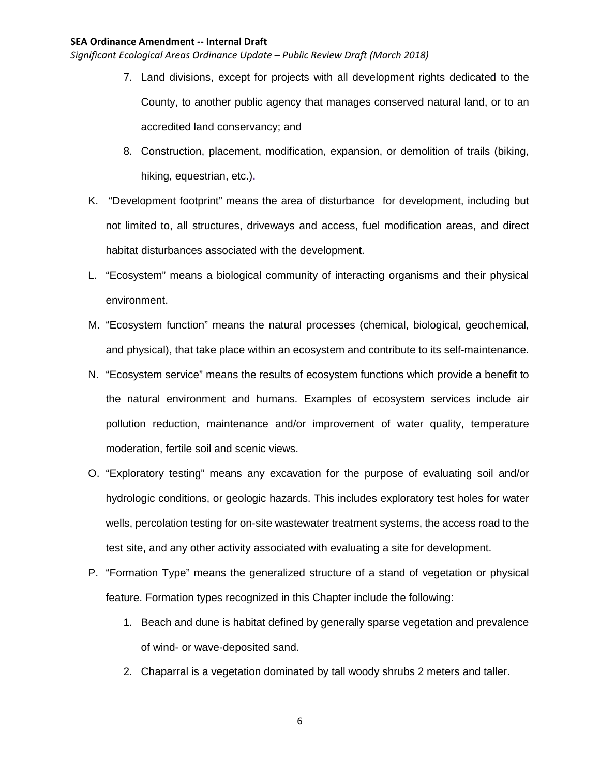- 7. Land divisions, except for projects with all development rights dedicated to the County, to another public agency that manages conserved natural land, or to an accredited land conservancy; and
- 8. Construction, placement, modification, expansion, or demolition of trails (biking, hiking, equestrian, etc.)**.**
- K. "Development footprint" means the area of disturbance for development, including but not limited to, all structures, driveways and access, fuel modification areas, and direct habitat disturbances associated with the development.
- L. "Ecosystem" means a biological community of interacting organisms and their physical environment.
- M. "Ecosystem function" means the natural processes (chemical, biological, geochemical, and physical), that take place within an ecosystem and contribute to its self-maintenance.
- N. "Ecosystem service" means the results of ecosystem functions which provide a benefit to the natural environment and humans. Examples of ecosystem services include air pollution reduction, maintenance and/or improvement of water quality, temperature moderation, fertile soil and scenic views.
- O. "Exploratory testing" means any excavation for the purpose of evaluating soil and/or hydrologic conditions, or geologic hazards. This includes exploratory test holes for water wells, percolation testing for on-site wastewater treatment systems, the access road to the test site, and any other activity associated with evaluating a site for development.
- P. "Formation Type" means the generalized structure of a stand of vegetation or physical feature. Formation types recognized in this Chapter include the following:
	- 1. Beach and dune is habitat defined by generally sparse vegetation and prevalence of wind- or wave-deposited sand.
	- 2. Chaparral is a vegetation dominated by tall woody shrubs 2 meters and taller.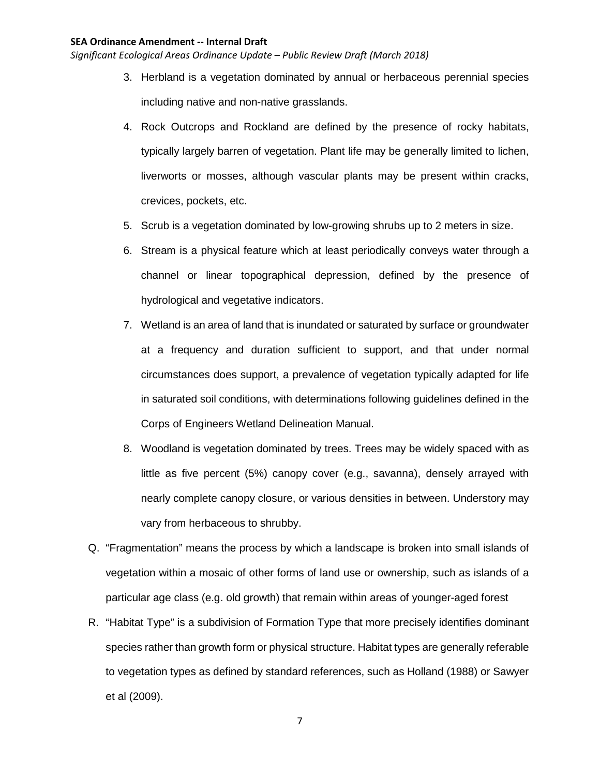- 3. Herbland is a vegetation dominated by annual or herbaceous perennial species including native and non-native grasslands.
- 4. Rock Outcrops and Rockland are defined by the presence of rocky habitats, typically largely barren of vegetation. Plant life may be generally limited to lichen, liverworts or mosses, although vascular plants may be present within cracks, crevices, pockets, etc.
- 5. Scrub is a vegetation dominated by low-growing shrubs up to 2 meters in size.
- 6. Stream is a physical feature which at least periodically conveys water through a channel or linear topographical depression, defined by the presence of hydrological and vegetative indicators.
- 7. Wetland is an area of land that is inundated or saturated by surface or groundwater at a frequency and duration sufficient to support, and that under normal circumstances does support, a prevalence of vegetation typically adapted for life in saturated soil conditions, with determinations following guidelines defined in the Corps of Engineers Wetland Delineation Manual.
- 8. Woodland is vegetation dominated by trees. Trees may be widely spaced with as little as five percent (5%) canopy cover (e.g., savanna), densely arrayed with nearly complete canopy closure, or various densities in between. Understory may vary from herbaceous to shrubby.
- Q. "Fragmentation" means the process by which a landscape is broken into small islands of vegetation within a mosaic of other forms of land use or ownership, such as islands of a particular age class (e.g. old growth) that remain within areas of younger-aged forest
- R. "Habitat Type" is a subdivision of Formation Type that more precisely identifies dominant species rather than growth form or physical structure. Habitat types are generally referable to vegetation types as defined by standard references, such as Holland (1988) or Sawyer et al (2009).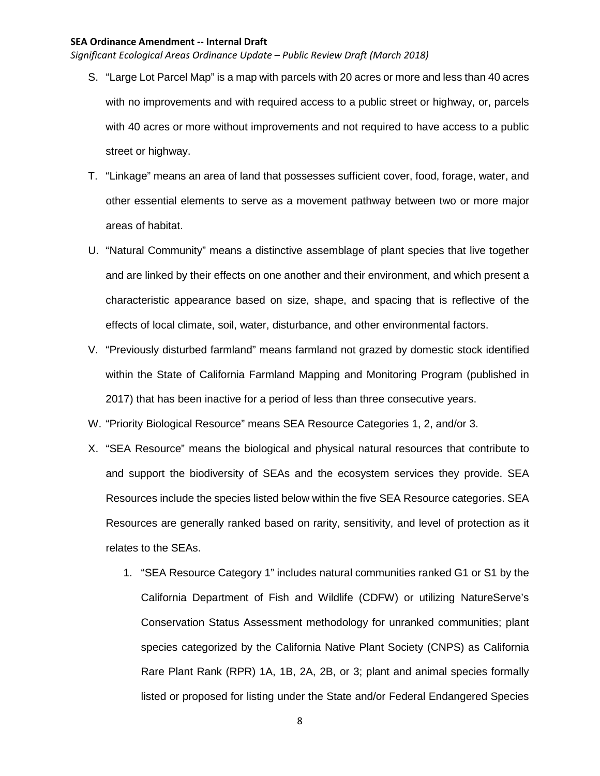- S. "Large Lot Parcel Map" is a map with parcels with 20 acres or more and less than 40 acres with no improvements and with required access to a public street or highway, or, parcels with 40 acres or more without improvements and not required to have access to a public street or highway.
- T. "Linkage" means an area of land that possesses sufficient cover, food, forage, water, and other essential elements to serve as a movement pathway between two or more major areas of habitat.
- U. "Natural Community" means a distinctive assemblage of plant species that live together and are linked by their effects on one another and their environment, and which present a characteristic appearance based on size, shape, and spacing that is reflective of the effects of local climate, soil, water, disturbance, and other environmental factors.
- V. "Previously disturbed farmland" means farmland not grazed by domestic stock identified within the State of California Farmland Mapping and Monitoring Program (published in 2017) that has been inactive for a period of less than three consecutive years.
- W. "Priority Biological Resource" means SEA Resource Categories 1, 2, and/or 3.
- X. "SEA Resource" means the biological and physical natural resources that contribute to and support the biodiversity of SEAs and the ecosystem services they provide. SEA Resources include the species listed below within the five SEA Resource categories. SEA Resources are generally ranked based on rarity, sensitivity, and level of protection as it relates to the SEAs.
	- 1. "SEA Resource Category 1" includes natural communities ranked G1 or S1 by the California Department of Fish and Wildlife (CDFW) or utilizing NatureServe's Conservation Status Assessment methodology for unranked communities; plant species categorized by the California Native Plant Society (CNPS) as California Rare Plant Rank (RPR) 1A, 1B, 2A, 2B, or 3; plant and animal species formally listed or proposed for listing under the State and/or Federal Endangered Species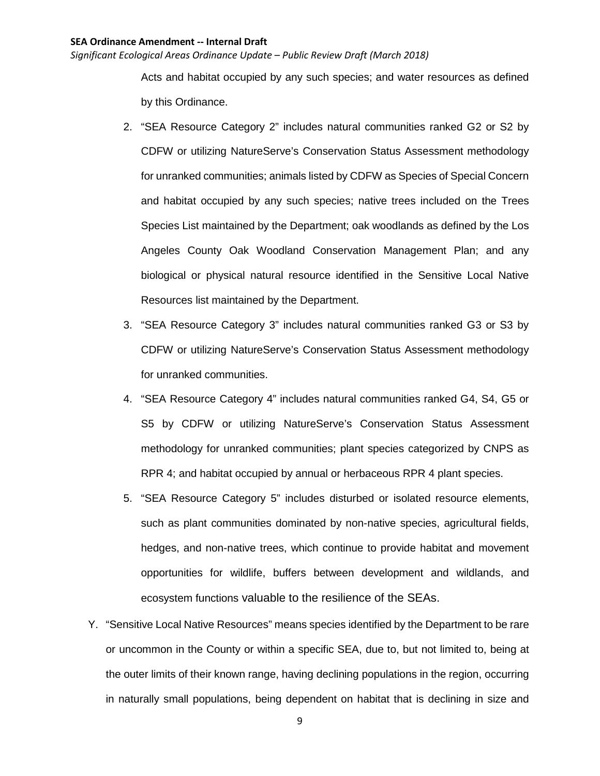*Significant Ecological Areas Ordinance Update – Public Review Draft (March 2018)*

Acts and habitat occupied by any such species; and water resources as defined by this Ordinance.

- 2. "SEA Resource Category 2" includes natural communities ranked G2 or S2 by CDFW or utilizing NatureServe's Conservation Status Assessment methodology for unranked communities; animals listed by CDFW as Species of Special Concern and habitat occupied by any such species; native trees included on the Trees Species List maintained by the Department; oak woodlands as defined by the Los Angeles County Oak Woodland Conservation Management Plan; and any biological or physical natural resource identified in the Sensitive Local Native Resources list maintained by the Department.
- 3. "SEA Resource Category 3" includes natural communities ranked G3 or S3 by CDFW or utilizing NatureServe's Conservation Status Assessment methodology for unranked communities.
- 4. "SEA Resource Category 4" includes natural communities ranked G4, S4, G5 or S5 by CDFW or utilizing NatureServe's Conservation Status Assessment methodology for unranked communities; plant species categorized by CNPS as RPR 4; and habitat occupied by annual or herbaceous RPR 4 plant species.
- 5. "SEA Resource Category 5" includes disturbed or isolated resource elements, such as plant communities dominated by non-native species, agricultural fields, hedges, and non-native trees, which continue to provide habitat and movement opportunities for wildlife, buffers between development and wildlands, and ecosystem functions valuable to the resilience of the SEAs.
- Y. "Sensitive Local Native Resources" means species identified by the Department to be rare or uncommon in the County or within a specific SEA, due to, but not limited to, being at the outer limits of their known range, having declining populations in the region, occurring in naturally small populations, being dependent on habitat that is declining in size and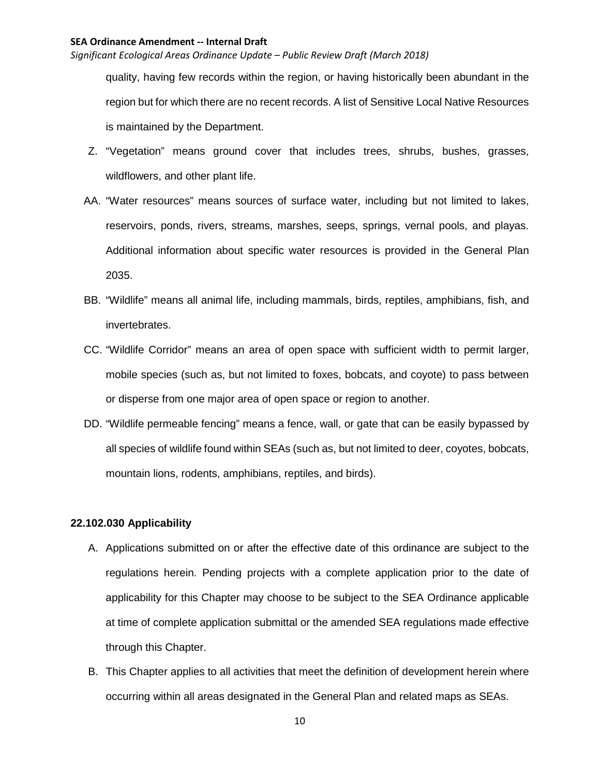*Significant Ecological Areas Ordinance Update – Public Review Draft (March 2018)*

quality, having few records within the region, or having historically been abundant in the region but for which there are no recent records. A list of Sensitive Local Native Resources is maintained by the Department.

- Z. "Vegetation" means ground cover that includes trees, shrubs, bushes, grasses, wildflowers, and other plant life.
- AA. "Water resources" means sources of surface water, including but not limited to lakes, reservoirs, ponds, rivers, streams, marshes, seeps, springs, vernal pools, and playas. Additional information about specific water resources is provided in the General Plan 2035.
- BB. "Wildlife" means all animal life, including mammals, birds, reptiles, amphibians, fish, and invertebrates.
- CC. "Wildlife Corridor" means an area of open space with sufficient width to permit larger, mobile species (such as, but not limited to foxes, bobcats, and coyote) to pass between or disperse from one major area of open space or region to another.
- DD. "Wildlife permeable fencing" means a fence, wall, or gate that can be easily bypassed by all species of wildlife found within SEAs (such as, but not limited to deer, coyotes, bobcats, mountain lions, rodents, amphibians, reptiles, and birds).

## **22.102.030 Applicability**

- A. Applications submitted on or after the effective date of this ordinance are subject to the regulations herein. Pending projects with a complete application prior to the date of applicability for this Chapter may choose to be subject to the SEA Ordinance applicable at time of complete application submittal or the amended SEA regulations made effective through this Chapter.
- B. This Chapter applies to all activities that meet the definition of development herein where occurring within all areas designated in the General Plan and related maps as SEAs.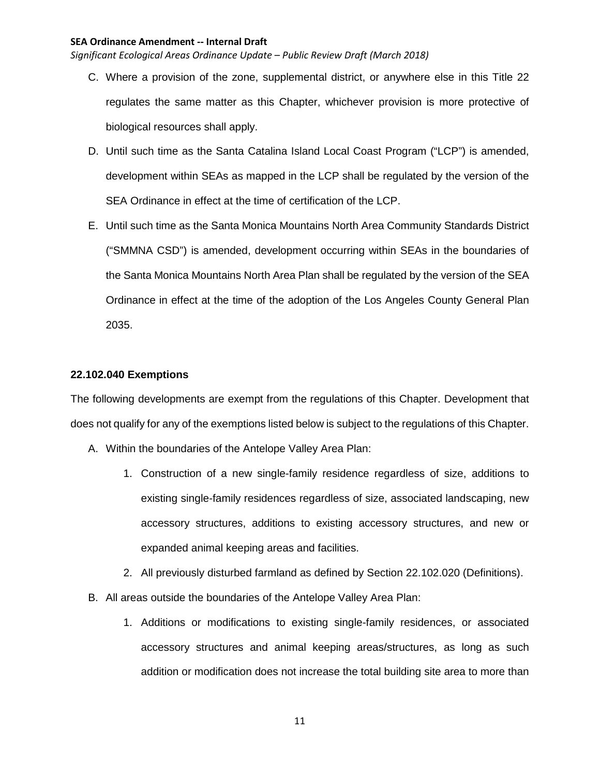*Significant Ecological Areas Ordinance Update – Public Review Draft (March 2018)*

- C. Where a provision of the zone, supplemental district, or anywhere else in this Title 22 regulates the same matter as this Chapter, whichever provision is more protective of biological resources shall apply.
- D. Until such time as the Santa Catalina Island Local Coast Program ("LCP") is amended, development within SEAs as mapped in the LCP shall be regulated by the version of the SEA Ordinance in effect at the time of certification of the LCP.
- E. Until such time as the Santa Monica Mountains North Area Community Standards District ("SMMNA CSD") is amended, development occurring within SEAs in the boundaries of the Santa Monica Mountains North Area Plan shall be regulated by the version of the SEA Ordinance in effect at the time of the adoption of the Los Angeles County General Plan 2035.

## **22.102.040 Exemptions**

The following developments are exempt from the regulations of this Chapter. Development that does not qualify for any of the exemptions listed below is subject to the regulations of this Chapter.

- A. Within the boundaries of the Antelope Valley Area Plan:
	- 1. Construction of a new single-family residence regardless of size, additions to existing single-family residences regardless of size, associated landscaping, new accessory structures, additions to existing accessory structures, and new or expanded animal keeping areas and facilities.
	- 2. All previously disturbed farmland as defined by Section 22.102.020 (Definitions).
- B. All areas outside the boundaries of the Antelope Valley Area Plan:
	- 1. Additions or modifications to existing single-family residences, or associated accessory structures and animal keeping areas/structures, as long as such addition or modification does not increase the total building site area to more than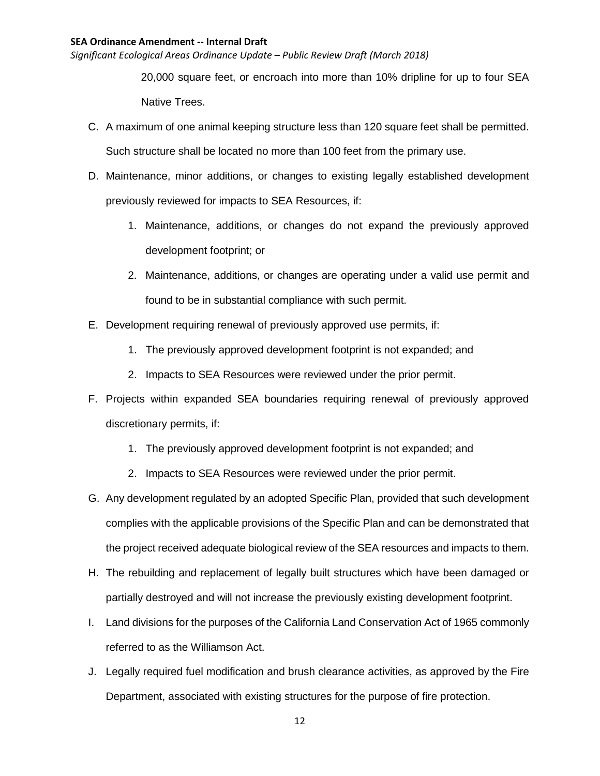*Significant Ecological Areas Ordinance Update – Public Review Draft (March 2018)*

20,000 square feet, or encroach into more than 10% dripline for up to four SEA Native Trees.

- C. A maximum of one animal keeping structure less than 120 square feet shall be permitted. Such structure shall be located no more than 100 feet from the primary use.
- D. Maintenance, minor additions, or changes to existing legally established development previously reviewed for impacts to SEA Resources, if:
	- 1. Maintenance, additions, or changes do not expand the previously approved development footprint; or
	- 2. Maintenance, additions, or changes are operating under a valid use permit and found to be in substantial compliance with such permit.
- E. Development requiring renewal of previously approved use permits, if:
	- 1. The previously approved development footprint is not expanded; and
	- 2. Impacts to SEA Resources were reviewed under the prior permit.
- F. Projects within expanded SEA boundaries requiring renewal of previously approved discretionary permits, if:
	- 1. The previously approved development footprint is not expanded; and
	- 2. Impacts to SEA Resources were reviewed under the prior permit.
- G. Any development regulated by an adopted Specific Plan, provided that such development complies with the applicable provisions of the Specific Plan and can be demonstrated that the project received adequate biological review of the SEA resources and impacts to them.
- H. The rebuilding and replacement of legally built structures which have been damaged or partially destroyed and will not increase the previously existing development footprint.
- I. Land divisions for the purposes of the California Land Conservation Act of 1965 commonly referred to as the Williamson Act.
- J. Legally required fuel modification and brush clearance activities, as approved by the Fire Department, associated with existing structures for the purpose of fire protection.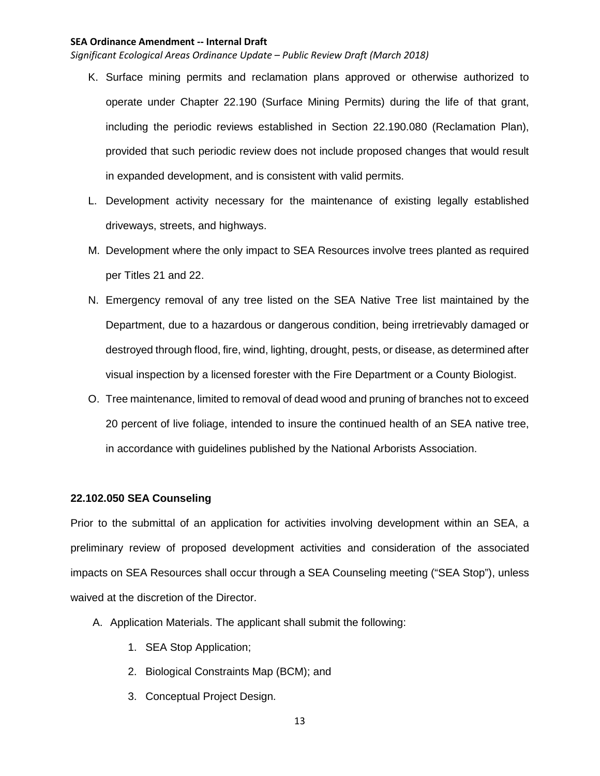*Significant Ecological Areas Ordinance Update – Public Review Draft (March 2018)*

- K. Surface mining permits and reclamation plans approved or otherwise authorized to operate under Chapter 22.190 (Surface Mining Permits) during the life of that grant, including the periodic reviews established in Section 22.190.080 (Reclamation Plan), provided that such periodic review does not include proposed changes that would result in expanded development, and is consistent with valid permits.
- L. Development activity necessary for the maintenance of existing legally established driveways, streets, and highways.
- M. Development where the only impact to SEA Resources involve trees planted as required per Titles 21 and 22.
- N. Emergency removal of any tree listed on the SEA Native Tree list maintained by the Department, due to a hazardous or dangerous condition, being irretrievably damaged or destroyed through flood, fire, wind, lighting, drought, pests, or disease, as determined after visual inspection by a licensed forester with the Fire Department or a County Biologist.
- O. Tree maintenance, limited to removal of dead wood and pruning of branches not to exceed 20 percent of live foliage, intended to insure the continued health of an SEA native tree, in accordance with guidelines published by the National Arborists Association.

# **22.102.050 SEA Counseling**

Prior to the submittal of an application for activities involving development within an SEA, a preliminary review of proposed development activities and consideration of the associated impacts on SEA Resources shall occur through a SEA Counseling meeting ("SEA Stop"), unless waived at the discretion of the Director.

- A. Application Materials. The applicant shall submit the following:
	- 1. SEA Stop Application;
	- 2. Biological Constraints Map (BCM); and
	- 3. Conceptual Project Design.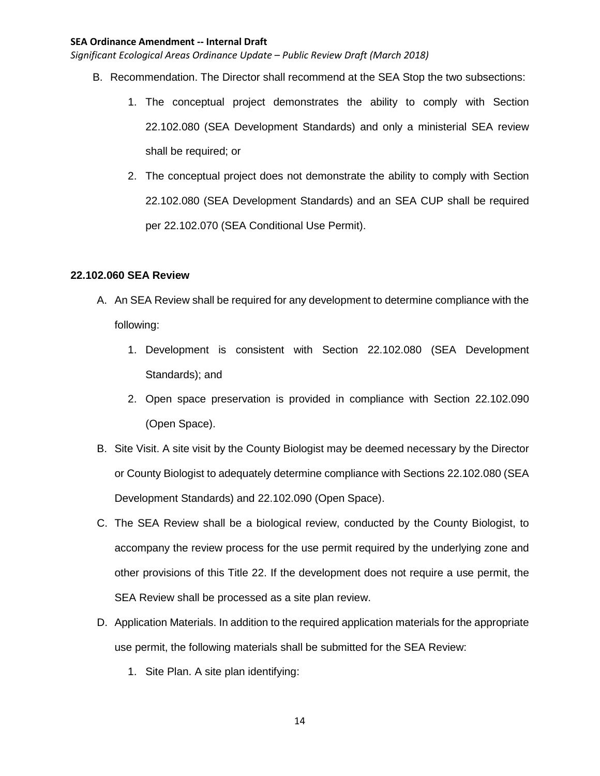*Significant Ecological Areas Ordinance Update – Public Review Draft (March 2018)*

- B. Recommendation. The Director shall recommend at the SEA Stop the two subsections:
	- 1. The conceptual project demonstrates the ability to comply with Section 22.102.080 (SEA Development Standards) and only a ministerial SEA review shall be required; or
	- 2. The conceptual project does not demonstrate the ability to comply with Section 22.102.080 (SEA Development Standards) and an SEA CUP shall be required per 22.102.070 (SEA Conditional Use Permit).

# **22.102.060 SEA Review**

- A. An SEA Review shall be required for any development to determine compliance with the following:
	- 1. Development is consistent with Section 22.102.080 (SEA Development Standards); and
	- 2. Open space preservation is provided in compliance with Section 22.102.090 (Open Space).
- B. Site Visit. A site visit by the County Biologist may be deemed necessary by the Director or County Biologist to adequately determine compliance with Sections 22.102.080 (SEA Development Standards) and 22.102.090 (Open Space).
- C. The SEA Review shall be a biological review, conducted by the County Biologist, to accompany the review process for the use permit required by the underlying zone and other provisions of this Title 22. If the development does not require a use permit, the SEA Review shall be processed as a site plan review.
- D. Application Materials. In addition to the required application materials for the appropriate use permit, the following materials shall be submitted for the SEA Review:
	- 1. Site Plan. A site plan identifying: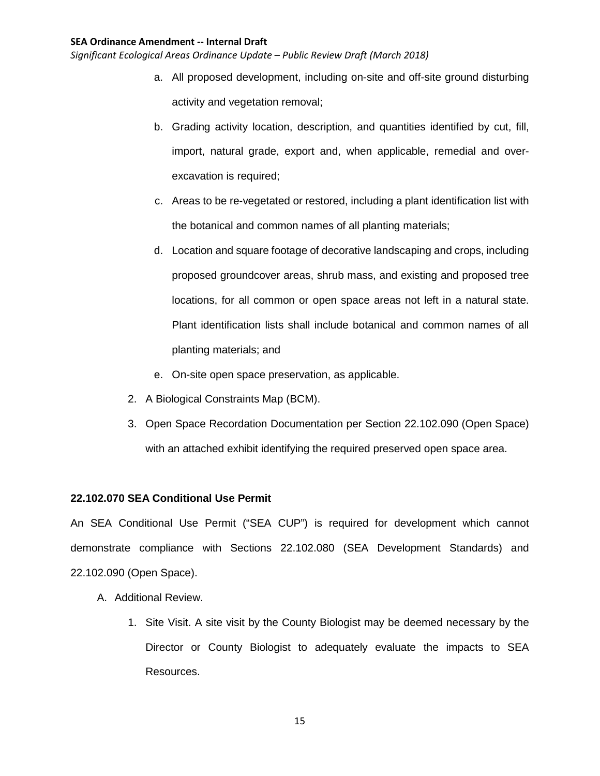*Significant Ecological Areas Ordinance Update – Public Review Draft (March 2018)*

- a. All proposed development, including on-site and off-site ground disturbing activity and vegetation removal;
- b. Grading activity location, description, and quantities identified by cut, fill, import, natural grade, export and, when applicable, remedial and overexcavation is required;
- c. Areas to be re-vegetated or restored, including a plant identification list with the botanical and common names of all planting materials;
- d. Location and square footage of decorative landscaping and crops, including proposed groundcover areas, shrub mass, and existing and proposed tree locations, for all common or open space areas not left in a natural state. Plant identification lists shall include botanical and common names of all planting materials; and
- e. On-site open space preservation, as applicable.
- 2. A Biological Constraints Map (BCM).
- 3. Open Space Recordation Documentation per Section 22.102.090 (Open Space) with an attached exhibit identifying the required preserved open space area.

# **22.102.070 SEA Conditional Use Permit**

An SEA Conditional Use Permit ("SEA CUP") is required for development which cannot demonstrate compliance with Sections 22.102.080 (SEA Development Standards) and 22.102.090 (Open Space).

- A. Additional Review.
	- 1. Site Visit. A site visit by the County Biologist may be deemed necessary by the Director or County Biologist to adequately evaluate the impacts to SEA Resources.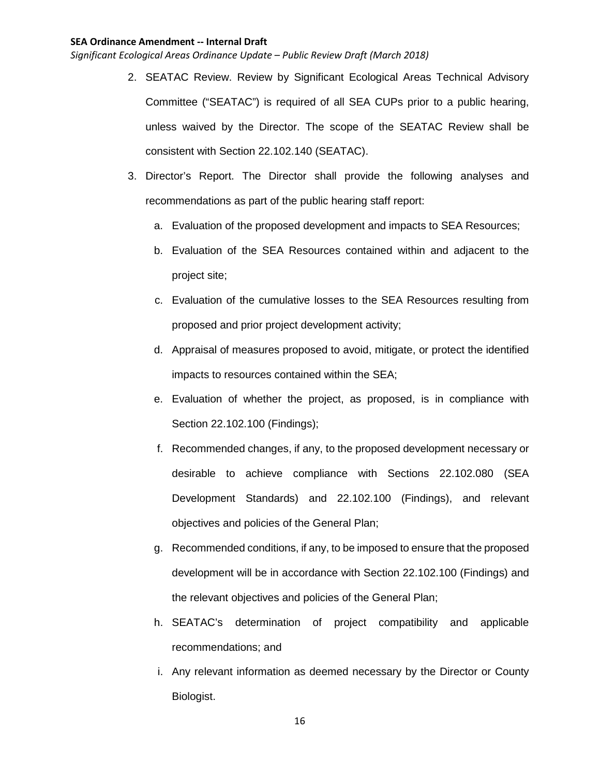- 2. SEATAC Review. Review by Significant Ecological Areas Technical Advisory Committee ("SEATAC") is required of all SEA CUPs prior to a public hearing, unless waived by the Director. The scope of the SEATAC Review shall be consistent with Section 22.102.140 (SEATAC).
- 3. Director's Report. The Director shall provide the following analyses and recommendations as part of the public hearing staff report:
	- a. Evaluation of the proposed development and impacts to SEA Resources;
	- b. Evaluation of the SEA Resources contained within and adjacent to the project site;
	- c. Evaluation of the cumulative losses to the SEA Resources resulting from proposed and prior project development activity;
	- d. Appraisal of measures proposed to avoid, mitigate, or protect the identified impacts to resources contained within the SEA;
	- e. Evaluation of whether the project, as proposed, is in compliance with Section 22.102.100 (Findings);
	- f. Recommended changes, if any, to the proposed development necessary or desirable to achieve compliance with Sections 22.102.080 (SEA Development Standards) and 22.102.100 (Findings), and relevant objectives and policies of the General Plan;
	- g. Recommended conditions, if any, to be imposed to ensure that the proposed development will be in accordance with Section 22.102.100 (Findings) and the relevant objectives and policies of the General Plan;
	- h. SEATAC's determination of project compatibility and applicable recommendations; and
	- i. Any relevant information as deemed necessary by the Director or County Biologist.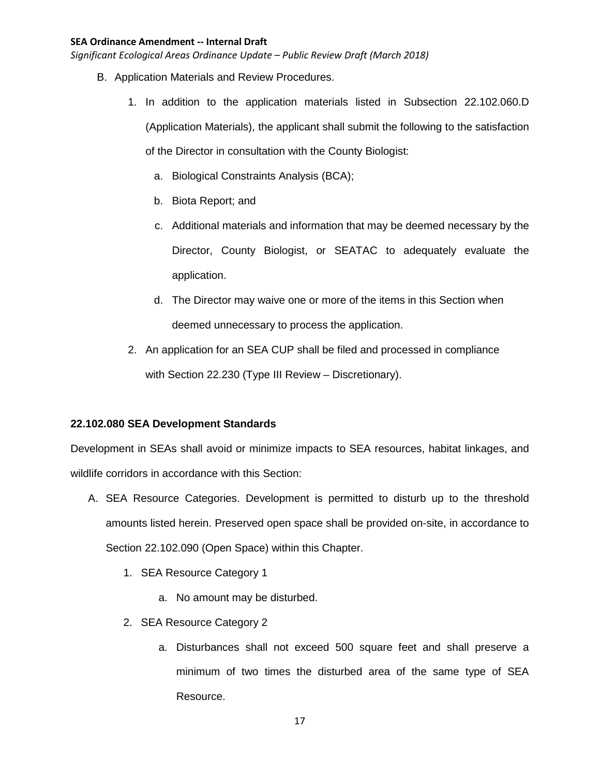*Significant Ecological Areas Ordinance Update – Public Review Draft (March 2018)*

- B. Application Materials and Review Procedures.
	- 1. In addition to the application materials listed in Subsection 22.102.060.D (Application Materials), the applicant shall submit the following to the satisfaction of the Director in consultation with the County Biologist:
		- a. Biological Constraints Analysis (BCA);
		- b. Biota Report; and
		- c. Additional materials and information that may be deemed necessary by the Director, County Biologist, or SEATAC to adequately evaluate the application.
		- d. The Director may waive one or more of the items in this Section when deemed unnecessary to process the application.
	- 2. An application for an SEA CUP shall be filed and processed in compliance with Section 22.230 (Type III Review – Discretionary).

# **22.102.080 SEA Development Standards**

Development in SEAs shall avoid or minimize impacts to SEA resources, habitat linkages, and wildlife corridors in accordance with this Section:

- A. SEA Resource Categories. Development is permitted to disturb up to the threshold amounts listed herein. Preserved open space shall be provided on-site, in accordance to Section 22.102.090 (Open Space) within this Chapter.
	- 1. SEA Resource Category 1
		- a. No amount may be disturbed.
	- 2. SEA Resource Category 2
		- a. Disturbances shall not exceed 500 square feet and shall preserve a minimum of two times the disturbed area of the same type of SEA Resource.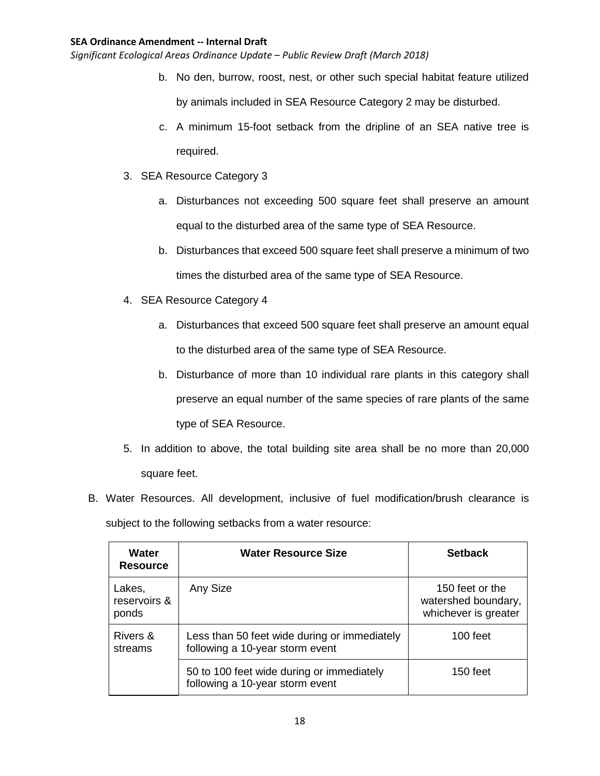- b. No den, burrow, roost, nest, or other such special habitat feature utilized by animals included in SEA Resource Category 2 may be disturbed.
- c. A minimum 15-foot setback from the dripline of an SEA native tree is required.
- 3. SEA Resource Category 3
	- a. Disturbances not exceeding 500 square feet shall preserve an amount equal to the disturbed area of the same type of SEA Resource.
	- b. Disturbances that exceed 500 square feet shall preserve a minimum of two times the disturbed area of the same type of SEA Resource.
- 4. SEA Resource Category 4
	- a. Disturbances that exceed 500 square feet shall preserve an amount equal to the disturbed area of the same type of SEA Resource.
	- b. Disturbance of more than 10 individual rare plants in this category shall preserve an equal number of the same species of rare plants of the same type of SEA Resource.
- 5. In addition to above, the total building site area shall be no more than 20,000 square feet.
- B. Water Resources. All development, inclusive of fuel modification/brush clearance is subject to the following setbacks from a water resource:

| Water<br><b>Resource</b>        | <b>Water Resource Size</b>                                                      | <b>Setback</b>                                                 |
|---------------------------------|---------------------------------------------------------------------------------|----------------------------------------------------------------|
| Lakes,<br>reservoirs &<br>ponds | Any Size                                                                        | 150 feet or the<br>watershed boundary,<br>whichever is greater |
| Rivers &<br>streams             | Less than 50 feet wide during or immediately<br>following a 10-year storm event | $100$ feet                                                     |
|                                 | 50 to 100 feet wide during or immediately<br>following a 10-year storm event    | $150$ feet                                                     |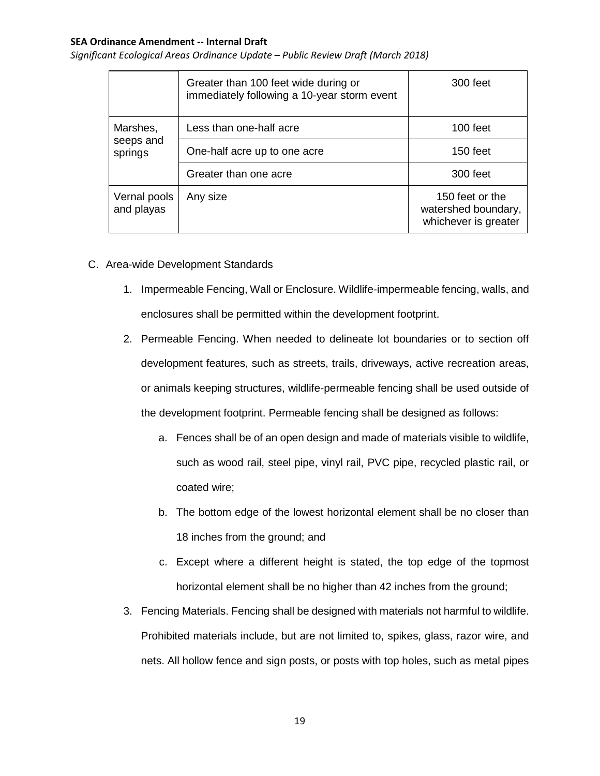|                                  | Greater than 100 feet wide during or<br>immediately following a 10-year storm event | 300 feet                                                       |
|----------------------------------|-------------------------------------------------------------------------------------|----------------------------------------------------------------|
| Marshes,<br>seeps and<br>springs | Less than one-half acre                                                             | 100 feet                                                       |
|                                  | One-half acre up to one acre                                                        | 150 feet                                                       |
|                                  | Greater than one acre                                                               | 300 feet                                                       |
| Vernal pools<br>and playas       | Any size                                                                            | 150 feet or the<br>watershed boundary,<br>whichever is greater |

- C. Area-wide Development Standards
	- 1. Impermeable Fencing, Wall or Enclosure. Wildlife-impermeable fencing, walls, and enclosures shall be permitted within the development footprint.
	- 2. Permeable Fencing. When needed to delineate lot boundaries or to section off development features, such as streets, trails, driveways, active recreation areas, or animals keeping structures, wildlife-permeable fencing shall be used outside of the development footprint. Permeable fencing shall be designed as follows:
		- a. Fences shall be of an open design and made of materials visible to wildlife, such as wood rail, steel pipe, vinyl rail, PVC pipe, recycled plastic rail, or coated wire;
		- b. The bottom edge of the lowest horizontal element shall be no closer than 18 inches from the ground; and
		- c. Except where a different height is stated, the top edge of the topmost horizontal element shall be no higher than 42 inches from the ground;
	- 3. Fencing Materials. Fencing shall be designed with materials not harmful to wildlife. Prohibited materials include, but are not limited to, spikes, glass, razor wire, and nets. All hollow fence and sign posts, or posts with top holes, such as metal pipes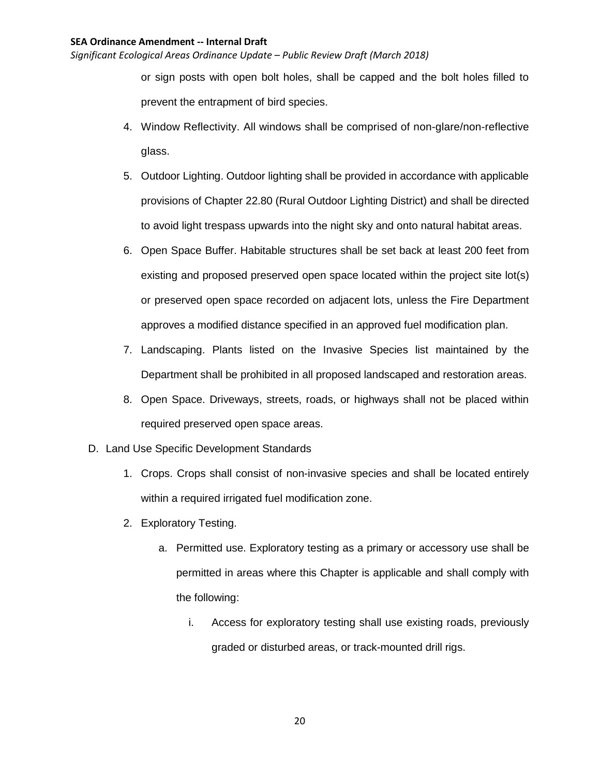*Significant Ecological Areas Ordinance Update – Public Review Draft (March 2018)*

or sign posts with open bolt holes, shall be capped and the bolt holes filled to prevent the entrapment of bird species.

- 4. Window Reflectivity. All windows shall be comprised of non-glare/non-reflective glass.
- 5. Outdoor Lighting. Outdoor lighting shall be provided in accordance with applicable provisions of Chapter 22.80 (Rural Outdoor Lighting District) and shall be directed to avoid light trespass upwards into the night sky and onto natural habitat areas.
- 6. Open Space Buffer. Habitable structures shall be set back at least 200 feet from existing and proposed preserved open space located within the project site lot(s) or preserved open space recorded on adjacent lots, unless the Fire Department approves a modified distance specified in an approved fuel modification plan.
- 7. Landscaping. Plants listed on the Invasive Species list maintained by the Department shall be prohibited in all proposed landscaped and restoration areas.
- 8. Open Space. Driveways, streets, roads, or highways shall not be placed within required preserved open space areas.
- D. Land Use Specific Development Standards
	- 1. Crops. Crops shall consist of non-invasive species and shall be located entirely within a required irrigated fuel modification zone.
	- 2. Exploratory Testing.
		- a. Permitted use. Exploratory testing as a primary or accessory use shall be permitted in areas where this Chapter is applicable and shall comply with the following:
			- i. Access for exploratory testing shall use existing roads, previously graded or disturbed areas, or track-mounted drill rigs.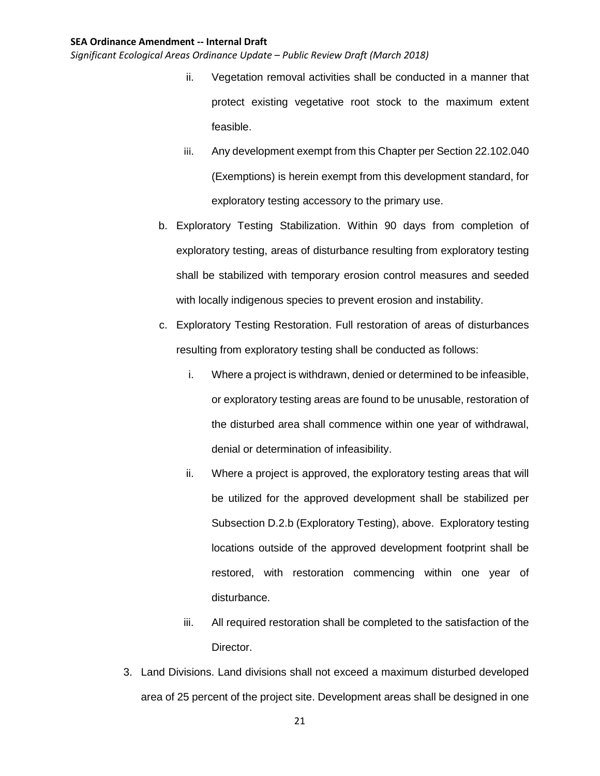- ii. Vegetation removal activities shall be conducted in a manner that protect existing vegetative root stock to the maximum extent feasible.
- iii. Any development exempt from this Chapter per Section 22.102.040 (Exemptions) is herein exempt from this development standard, for exploratory testing accessory to the primary use.
- b. Exploratory Testing Stabilization. Within 90 days from completion of exploratory testing, areas of disturbance resulting from exploratory testing shall be stabilized with temporary erosion control measures and seeded with locally indigenous species to prevent erosion and instability.
- c. Exploratory Testing Restoration. Full restoration of areas of disturbances resulting from exploratory testing shall be conducted as follows:
	- i. Where a project is withdrawn, denied or determined to be infeasible, or exploratory testing areas are found to be unusable, restoration of the disturbed area shall commence within one year of withdrawal, denial or determination of infeasibility.
	- ii. Where a project is approved, the exploratory testing areas that will be utilized for the approved development shall be stabilized per Subsection D.2.b (Exploratory Testing), above. Exploratory testing locations outside of the approved development footprint shall be restored, with restoration commencing within one year of disturbance.
	- iii. All required restoration shall be completed to the satisfaction of the Director.
- 3. Land Divisions. Land divisions shall not exceed a maximum disturbed developed area of 25 percent of the project site. Development areas shall be designed in one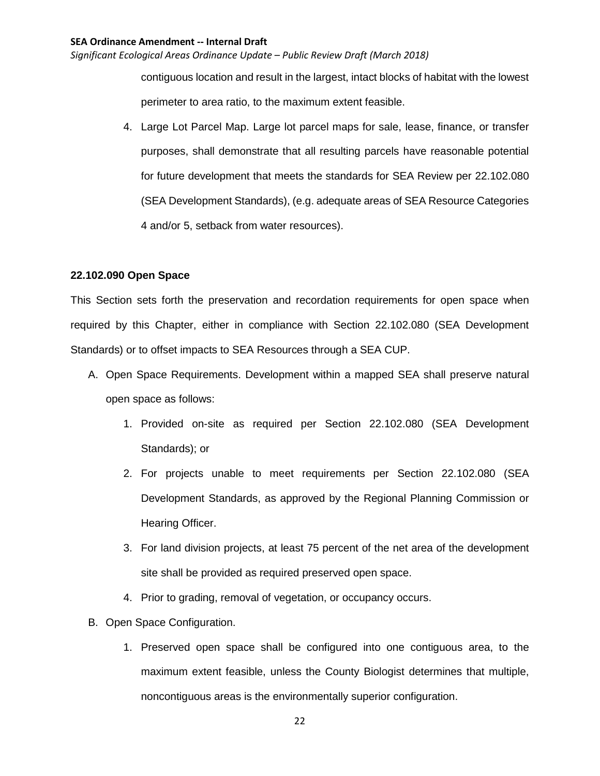*Significant Ecological Areas Ordinance Update – Public Review Draft (March 2018)*

contiguous location and result in the largest, intact blocks of habitat with the lowest perimeter to area ratio, to the maximum extent feasible.

4. Large Lot Parcel Map. Large lot parcel maps for sale, lease, finance, or transfer purposes, shall demonstrate that all resulting parcels have reasonable potential for future development that meets the standards for SEA Review per 22.102.080 (SEA Development Standards), (e.g. adequate areas of SEA Resource Categories 4 and/or 5, setback from water resources).

## **22.102.090 Open Space**

This Section sets forth the preservation and recordation requirements for open space when required by this Chapter, either in compliance with Section 22.102.080 (SEA Development Standards) or to offset impacts to SEA Resources through a SEA CUP.

- A. Open Space Requirements. Development within a mapped SEA shall preserve natural open space as follows:
	- 1. Provided on-site as required per Section 22.102.080 (SEA Development Standards); or
	- 2. For projects unable to meet requirements per Section 22.102.080 (SEA Development Standards, as approved by the Regional Planning Commission or Hearing Officer.
	- 3. For land division projects, at least 75 percent of the net area of the development site shall be provided as required preserved open space.
	- 4. Prior to grading, removal of vegetation, or occupancy occurs.
- B. Open Space Configuration.
	- 1. Preserved open space shall be configured into one contiguous area, to the maximum extent feasible, unless the County Biologist determines that multiple, noncontiguous areas is the environmentally superior configuration.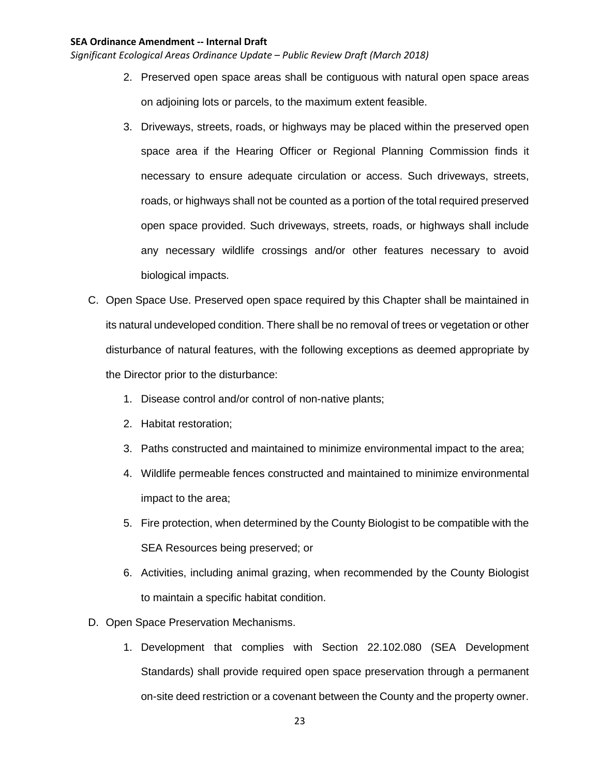- 2. Preserved open space areas shall be contiguous with natural open space areas on adjoining lots or parcels, to the maximum extent feasible.
- 3. Driveways, streets, roads, or highways may be placed within the preserved open space area if the Hearing Officer or Regional Planning Commission finds it necessary to ensure adequate circulation or access. Such driveways, streets, roads, or highways shall not be counted as a portion of the total required preserved open space provided. Such driveways, streets, roads, or highways shall include any necessary wildlife crossings and/or other features necessary to avoid biological impacts.
- C. Open Space Use. Preserved open space required by this Chapter shall be maintained in its natural undeveloped condition. There shall be no removal of trees or vegetation or other disturbance of natural features, with the following exceptions as deemed appropriate by the Director prior to the disturbance:
	- 1. Disease control and/or control of non-native plants;
	- 2. Habitat restoration;
	- 3. Paths constructed and maintained to minimize environmental impact to the area;
	- 4. Wildlife permeable fences constructed and maintained to minimize environmental impact to the area;
	- 5. Fire protection, when determined by the County Biologist to be compatible with the SEA Resources being preserved; or
	- 6. Activities, including animal grazing, when recommended by the County Biologist to maintain a specific habitat condition.
- D. Open Space Preservation Mechanisms.
	- 1. Development that complies with Section 22.102.080 (SEA Development Standards) shall provide required open space preservation through a permanent on-site deed restriction or a covenant between the County and the property owner.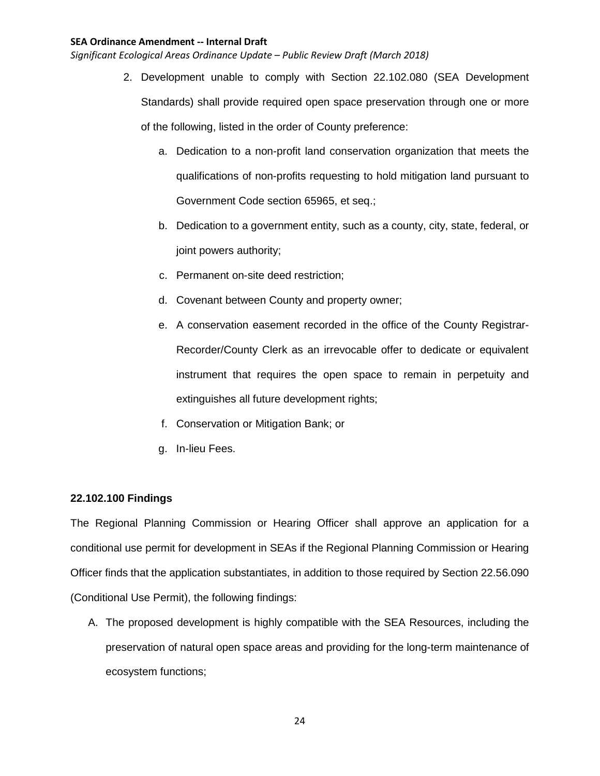*Significant Ecological Areas Ordinance Update – Public Review Draft (March 2018)*

- 2. Development unable to comply with Section 22.102.080 (SEA Development Standards) shall provide required open space preservation through one or more of the following, listed in the order of County preference:
	- a. Dedication to a non-profit land conservation organization that meets the qualifications of non-profits requesting to hold mitigation land pursuant to Government Code section 65965, et seq.;
	- b. Dedication to a government entity, such as a county, city, state, federal, or joint powers authority;
	- c. Permanent on-site deed restriction;
	- d. Covenant between County and property owner;
	- e. A conservation easement recorded in the office of the County Registrar-Recorder/County Clerk as an irrevocable offer to dedicate or equivalent instrument that requires the open space to remain in perpetuity and extinguishes all future development rights;
	- f. Conservation or Mitigation Bank; or
	- g. In-lieu Fees.

# **22.102.100 Findings**

The Regional Planning Commission or Hearing Officer shall approve an application for a conditional use permit for development in SEAs if the Regional Planning Commission or Hearing Officer finds that the application substantiates, in addition to those required by Section 22.56.090 (Conditional Use Permit), the following findings:

A. The proposed development is highly compatible with the SEA Resources, including the preservation of natural open space areas and providing for the long-term maintenance of ecosystem functions;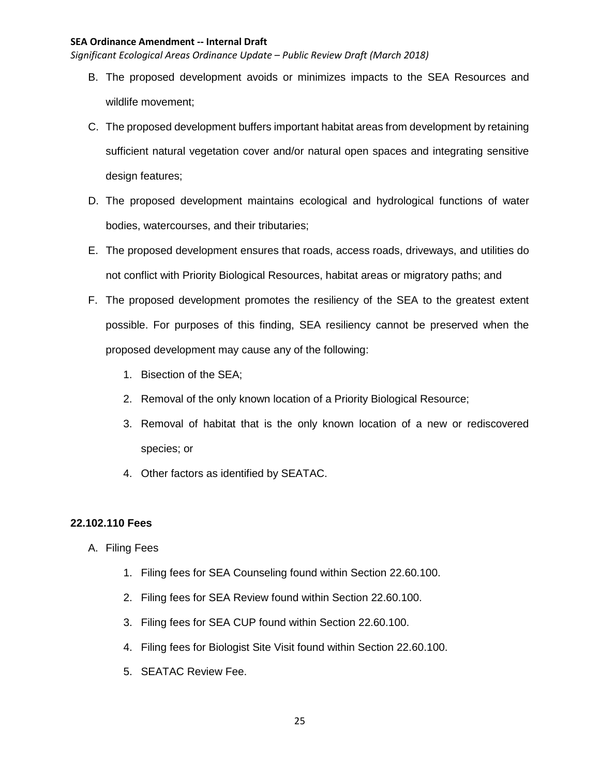*Significant Ecological Areas Ordinance Update – Public Review Draft (March 2018)*

- B. The proposed development avoids or minimizes impacts to the SEA Resources and wildlife movement;
- C. The proposed development buffers important habitat areas from development by retaining sufficient natural vegetation cover and/or natural open spaces and integrating sensitive design features;
- D. The proposed development maintains ecological and hydrological functions of water bodies, watercourses, and their tributaries;
- E. The proposed development ensures that roads, access roads, driveways, and utilities do not conflict with Priority Biological Resources, habitat areas or migratory paths; and
- F. The proposed development promotes the resiliency of the SEA to the greatest extent possible. For purposes of this finding, SEA resiliency cannot be preserved when the proposed development may cause any of the following:
	- 1. Bisection of the SEA;
	- 2. Removal of the only known location of a Priority Biological Resource;
	- 3. Removal of habitat that is the only known location of a new or rediscovered species; or
	- 4. Other factors as identified by SEATAC.

# **22.102.110 Fees**

- A. Filing Fees
	- 1. Filing fees for SEA Counseling found within Section 22.60.100.
	- 2. Filing fees for SEA Review found within Section 22.60.100.
	- 3. Filing fees for SEA CUP found within Section 22.60.100.
	- 4. Filing fees for Biologist Site Visit found within Section 22.60.100.
	- 5. SEATAC Review Fee.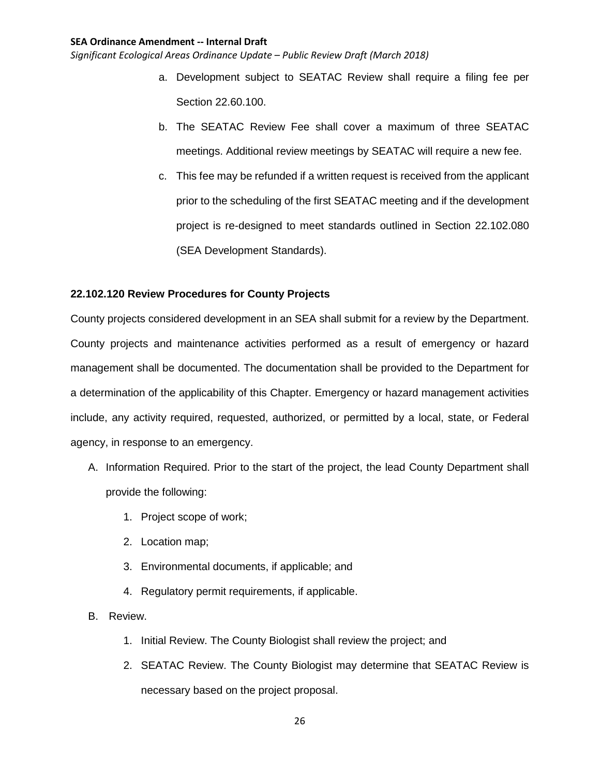*Significant Ecological Areas Ordinance Update – Public Review Draft (March 2018)*

- a. Development subject to SEATAC Review shall require a filing fee per Section 22.60.100.
- b. The SEATAC Review Fee shall cover a maximum of three SEATAC meetings. Additional review meetings by SEATAC will require a new fee.
- c. This fee may be refunded if a written request is received from the applicant prior to the scheduling of the first SEATAC meeting and if the development project is re-designed to meet standards outlined in Section 22.102.080 (SEA Development Standards).

## **22.102.120 Review Procedures for County Projects**

County projects considered development in an SEA shall submit for a review by the Department. County projects and maintenance activities performed as a result of emergency or hazard management shall be documented. The documentation shall be provided to the Department for a determination of the applicability of this Chapter. Emergency or hazard management activities include, any activity required, requested, authorized, or permitted by a local, state, or Federal agency, in response to an emergency.

- A. Information Required. Prior to the start of the project, the lead County Department shall provide the following:
	- 1. Project scope of work;
	- 2. Location map;
	- 3. Environmental documents, if applicable; and
	- 4. Regulatory permit requirements, if applicable.
- B. Review.
	- 1. Initial Review. The County Biologist shall review the project; and
	- 2. SEATAC Review. The County Biologist may determine that SEATAC Review is necessary based on the project proposal.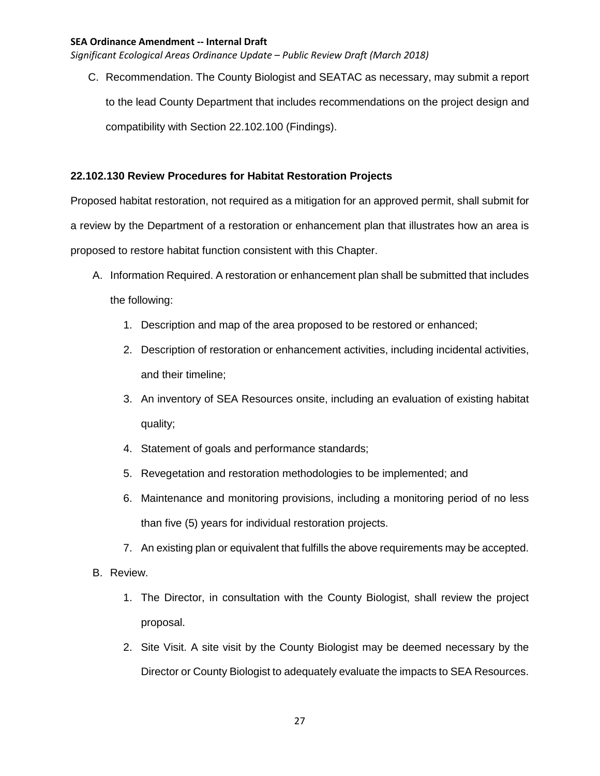*Significant Ecological Areas Ordinance Update – Public Review Draft (March 2018)*

C. Recommendation. The County Biologist and SEATAC as necessary, may submit a report to the lead County Department that includes recommendations on the project design and compatibility with Section 22.102.100 (Findings).

# **22.102.130 Review Procedures for Habitat Restoration Projects**

Proposed habitat restoration, not required as a mitigation for an approved permit, shall submit for a review by the Department of a restoration or enhancement plan that illustrates how an area is proposed to restore habitat function consistent with this Chapter.

- A. Information Required. A restoration or enhancement plan shall be submitted that includes the following:
	- 1. Description and map of the area proposed to be restored or enhanced;
	- 2. Description of restoration or enhancement activities, including incidental activities, and their timeline;
	- 3. An inventory of SEA Resources onsite, including an evaluation of existing habitat quality;
	- 4. Statement of goals and performance standards;
	- 5. Revegetation and restoration methodologies to be implemented; and
	- 6. Maintenance and monitoring provisions, including a monitoring period of no less than five (5) years for individual restoration projects.
	- 7. An existing plan or equivalent that fulfills the above requirements may be accepted.

# B. Review.

- 1. The Director, in consultation with the County Biologist, shall review the project proposal.
- 2. Site Visit. A site visit by the County Biologist may be deemed necessary by the Director or County Biologist to adequately evaluate the impacts to SEA Resources.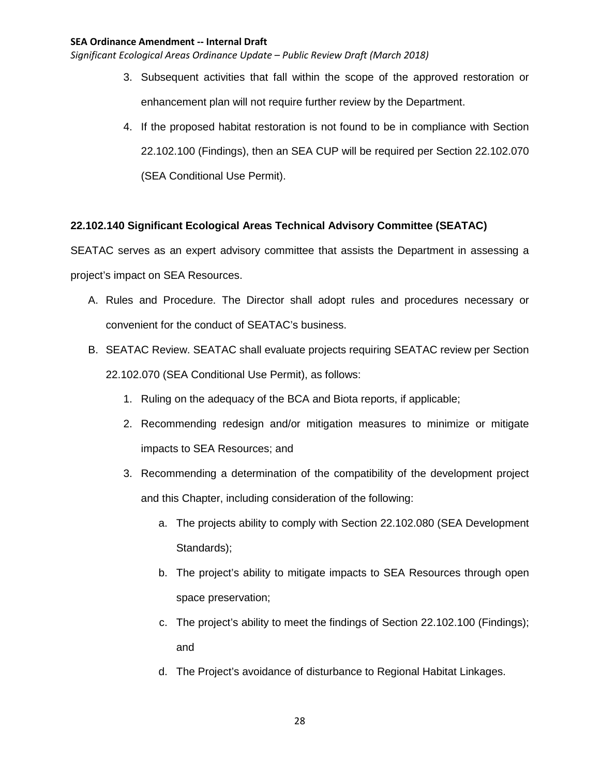*Significant Ecological Areas Ordinance Update – Public Review Draft (March 2018)*

- 3. Subsequent activities that fall within the scope of the approved restoration or enhancement plan will not require further review by the Department.
- 4. If the proposed habitat restoration is not found to be in compliance with Section 22.102.100 (Findings), then an SEA CUP will be required per Section 22.102.070 (SEA Conditional Use Permit).

# **22.102.140 Significant Ecological Areas Technical Advisory Committee (SEATAC)**

SEATAC serves as an expert advisory committee that assists the Department in assessing a project's impact on SEA Resources.

- A. Rules and Procedure. The Director shall adopt rules and procedures necessary or convenient for the conduct of SEATAC's business.
- B. SEATAC Review. SEATAC shall evaluate projects requiring SEATAC review per Section 22.102.070 (SEA Conditional Use Permit), as follows:
	- 1. Ruling on the adequacy of the BCA and Biota reports, if applicable;
	- 2. Recommending redesign and/or mitigation measures to minimize or mitigate impacts to SEA Resources; and
	- 3. Recommending a determination of the compatibility of the development project and this Chapter, including consideration of the following:
		- a. The projects ability to comply with Section 22.102.080 (SEA Development Standards);
		- b. The project's ability to mitigate impacts to SEA Resources through open space preservation;
		- c. The project's ability to meet the findings of Section 22.102.100 (Findings); and
		- d. The Project's avoidance of disturbance to Regional Habitat Linkages.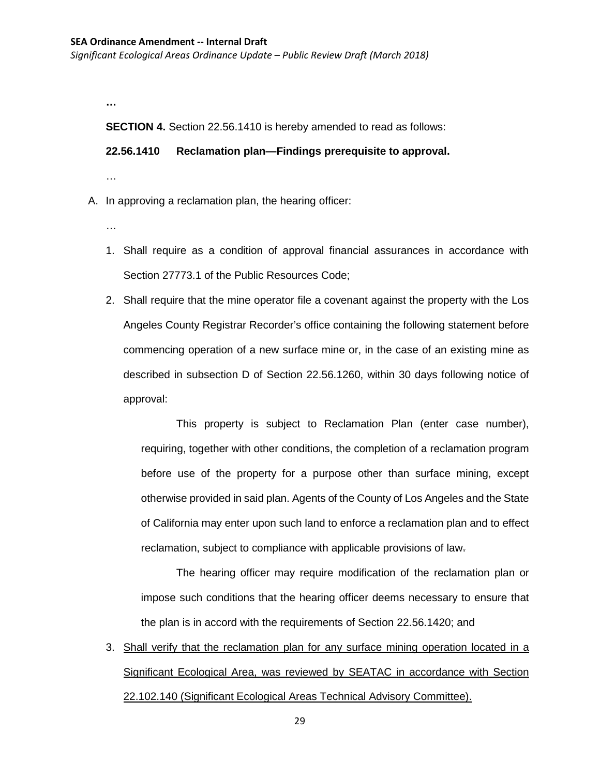*Significant Ecological Areas Ordinance Update – Public Review Draft (March 2018)*

**…**

**SECTION 4.** Section 22.56.1410 is hereby amended to read as follows:

**22.56.1410 Reclamation plan—Findings prerequisite to approval.**

…

A. In approving a reclamation plan, the hearing officer:

- …
- 1. Shall require as a condition of approval financial assurances in accordance with Section 27773.1 of the Public Resources Code;
- 2. Shall require that the mine operator file a covenant against the property with the Los Angeles County Registrar Recorder's office containing the following statement before commencing operation of a new surface mine or, in the case of an existing mine as described in subsection D of Section 22.56.1260, within 30 days following notice of approval:

This property is subject to Reclamation Plan (enter case number), requiring, together with other conditions, the completion of a reclamation program before use of the property for a purpose other than surface mining, except otherwise provided in said plan. Agents of the County of Los Angeles and the State of California may enter upon such land to enforce a reclamation plan and to effect reclamation, subject to compliance with applicable provisions of law.

The hearing officer may require modification of the reclamation plan or impose such conditions that the hearing officer deems necessary to ensure that the plan is in accord with the requirements of Section 22.56.1420; and

3. Shall verify that the reclamation plan for any surface mining operation located in a Significant Ecological Area, was reviewed by SEATAC in accordance with Section 22.102.140 (Significant Ecological Areas Technical Advisory Committee).